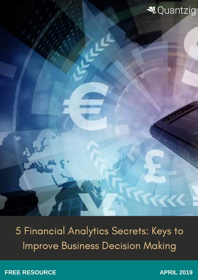

**KA** 

5 Financial Analytics Secrets: Keys to Improve Business Decision Making

DATA MINING TRENDS: WHAT DOES THE SAME

**FREE RESOURCE APRIL 2019** 

future hold?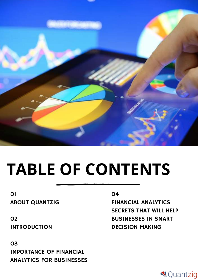

# **TABLE OF CONTENTS**

#### 01 ABOUT QUANTZIG

02 INTRODUCTION

03 IMPORTANCE OF FINANCIAL ANALYTICS FOR BUSINESSES

#### 04

FINANCIAL ANALYTICS SECRETS THAT WILL HELP BUSINESSES IN SMART DECISION MAKING

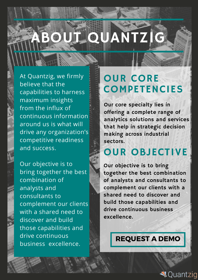# JT QUANTZIG

At Quantzig, we firmly believe that the capabilities to harness maximum insights from the influx of continuous information around us is what will drive any organization's competitive readiness and success.

Our objective is to bring together the best combination of analysts and consultants to complement our clients with a shared need to discover and build those capabilities and drive continuous business excellence.

# OUR CORE **COMPETENCIES**

Our core specialty lies in offering a complete range of analytics solutions and services that help in strategic decision making across industrial sectors.

# OUR OBJECTIVE

Our objective is to bring together the best combination of analysts and consultants to complement our clients with a shared need to discover and build those capabilities and drive continuous business excellence.

## [REQUEST](https://www.quantzig.com/request-a-demo?utm_source=WP17&utm_medium=WPWeek17&utm_campaign=WPWeek17) A DEMO

**√**Quantziq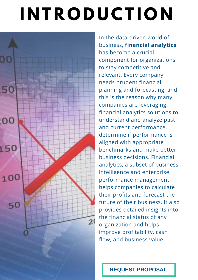# **I N T R O D U C T I O N**



In the data-driven world of business, **financial analytics** has become a crucial component for organizations to stay competitive and relevant. Every company needs prudent financial planning and forecasting, and this is the reason why many companies are leveraging financial analytics solutions to understand and analyze past and current performance, determine if performance is aligned with appropriate benchmarks and make better business decisions. Financial analytics, a subset of business intelligence and enterprise performance management, helps companies to calculate their profits and forecast the future of their business. It also provides detailed insights into the financial status of any organization and helps improve profitability, cash flow, and business value.

**REQUEST [PROPOSAL](https://www.quantzig.com/request-for-proposal?utm_source=WP17&utm_medium=WPWeek17&utm_campaign=WPWeek17)**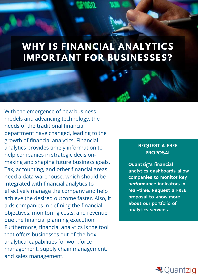# **WHY IS FINANCIAL ANALYTICS IMPORTANT FOR BUSINESSES?**

With the emergence of new business models and advancing technology, the needs of the traditional financial department have changed, leading to the growth of financial analytics. Financial analytics provides timely information to help companies in strategic decisionmaking and shaping future business goals. Tax, accounting, and other financial areas need a data warehouse, which should be integrated with financial analytics to effectively manage the company and help achieve the desired outcome faster. Also, it aids companies in defining the financial objectives, monitoring costs, and revenue due the financial planning execution. Furthermore, financial analytics is the tool that offers businesses out-of-the-box analytical capabilities for workforce management, supply chain management, and sales management.

#### REQUEST A FREE PROPOSAL

Quantzig's financial analytics dashboards allow companies to monitor key [performance](https://www.quantzig.com/request-for-proposal?utm_source=WP18&utm_medium=WPWeek18&utm_campaign=WPWeek18) indicators in real-time. Request a FREE proposal to know more about our portfolio of analytics services.

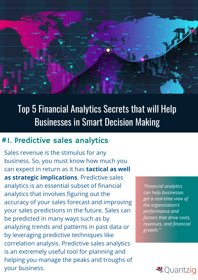

# Top 5 Financial Analytics Secrets that will Help Businesses in Smart Decision Making

## #1. Predictive sales analytics

Sales revenue is the stimulus for any business. So, you must know how much you can expect in return as it has **tactical as well as strategic implications**. Predictive sales analytics is an essential subset of financial analytics that involves figuring out the accuracy of your sales forecast and improving your sales predictions in the future. Sales can be predicted in many ways such as by analyzing trends and patterns in past data or by leveraging predictive techniques like correlation analysis. Predictive sales analytics is an extremely useful tool for planning and helping you manage the peaks and troughs of your business.

*"Financial analytics can help businesses get a real-time view of the organization's performance and factors that drive costs, revenues, and financial growth."*

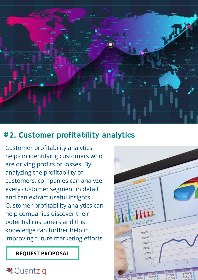

## #2. Customer profitability analytics

Customer profitability analytics helps in identifying customers who are driving profits or losses. By analyzing the profitability of customers, companies can analyze every customer segment in detail and can extract useful insights. Customer profitability analytics can help companies discover their potential customers and this knowledge can further help in improving future marketing efforts.

#### **REQUEST [PROPOSAL](https://www.quantzig.com/request-for-proposal?utm_source=WP18&utm_medium=WPWeek18&utm_campaign=WPWeek18)**

## **₹**Quantzig

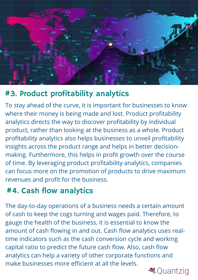

## #3. Product profitability analytics

To stay ahead of the curve, it is important for businesses to know where their money is being made and lost. Product profitability analytics directs the way to discover profitability by individual product, rather than looking at the business as a whole. Product profitability analytics also helps businesses to unveil profitability insights across the product range and helps in better decisionmaking. Furthermore, this helps in profit growth over the course of time. By leveraging product profitability analytics, companies can focus more on the promotion of products to drive maximum revenues and profit for the business.

## #4. Cash flow analytics

The day-to-day operations of a business needs a certain amount of cash to keep the cogs turning and wages paid. Therefore, to gauge the health of the business, it is essential to know the amount of cash flowing in and out. Cash flow analytics uses realtime indicators such as the cash conversion cycle and working capital ratio to predict the future cash flow. Also, cash flow analytics can help a variety of other corporate functions and make businesses more efficient at all the levels.

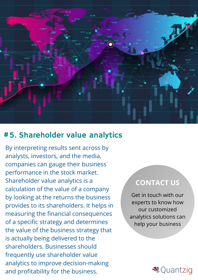

### #5. Shareholder value analytics

By interpreting results sent across by analysts, investors, and the media, companies can gauge their business performance in the stock market. Shareholder value analytics is a calculation of the value of a company by looking at the returns the business provides to its shareholders. It helps in measuring the financial consequences of a specific strategy and determines the value of the business strategy that is actually being delivered to the shareholders. Businesses should frequently use shareholder value analytics to improve decision-making and profitability for the business.

### **[CONTACT US](https://www.quantzig.com/contact-us?utm_source=WP18&utm_medium=WPWeek18&utm_campaign=WPWeek18)**

Get in touch with our experts to know how our customized analytics solutions can help your business